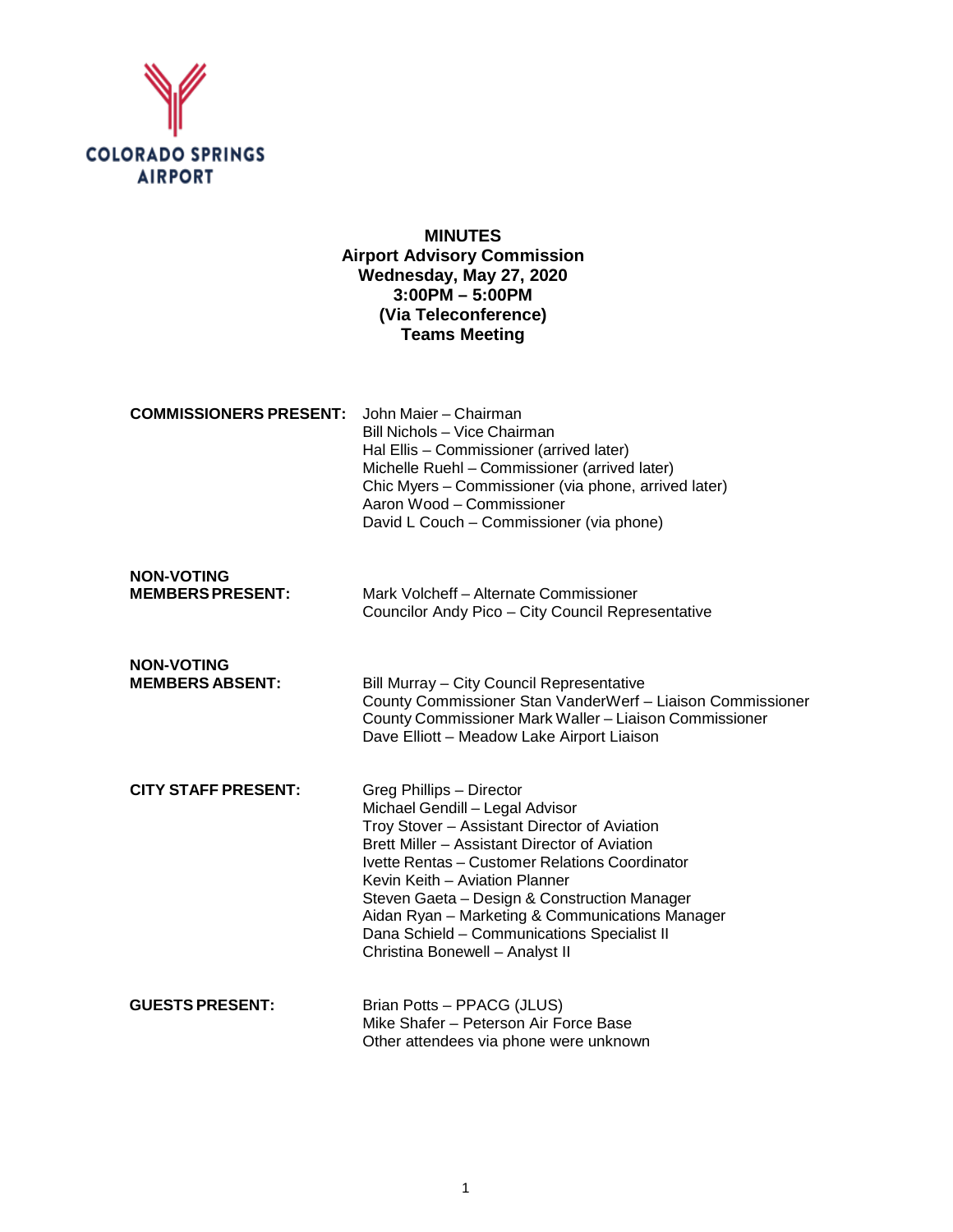

# **MINUTES Airport Advisory Commission Wednesday, May 27, 2020 3:00PM – 5:00PM (Via Teleconference) Teams Meeting**

| <b>COMMISSIONERS PRESENT:</b> John Maier – Chairman | Bill Nichols - Vice Chairman<br>Hal Ellis - Commissioner (arrived later)                                                                                                       |
|-----------------------------------------------------|--------------------------------------------------------------------------------------------------------------------------------------------------------------------------------|
|                                                     | Michelle Ruehl - Commissioner (arrived later)<br>Chic Myers – Commissioner (via phone, arrived later)<br>Aaron Wood - Commissioner<br>David L Couch – Commissioner (via phone) |
|                                                     |                                                                                                                                                                                |

| <b>NON-VOTING</b>       |                                                   |
|-------------------------|---------------------------------------------------|
| <b>MEMBERS PRESENT:</b> | Mark Volcheff - Alternate Commissioner            |
|                         | Councilor Andy Pico – City Council Representative |

**NON-VOTING Bill Murray – City Council Representative** County Commissioner Stan VanderWerf – Liaison Commissioner County Commissioner Mark Waller – Liaison Commissioner Dave Elliott – Meadow Lake Airport Liaison

- **CITY STAFF PRESENT:** Greg Phillips Director Michael Gendill – Legal Advisor Troy Stover – Assistant Director of Aviation Brett Miller – Assistant Director of Aviation Ivette Rentas – Customer Relations Coordinator Kevin Keith – Aviation Planner Steven Gaeta – Design & Construction Manager Aidan Ryan – Marketing & Communications Manager Dana Schield – Communications Specialist II Christina Bonewell – Analyst II
- **GUESTS PRESENT:** Brian Potts PPACG (JLUS) Mike Shafer – Peterson Air Force Base Other attendees via phone were unknown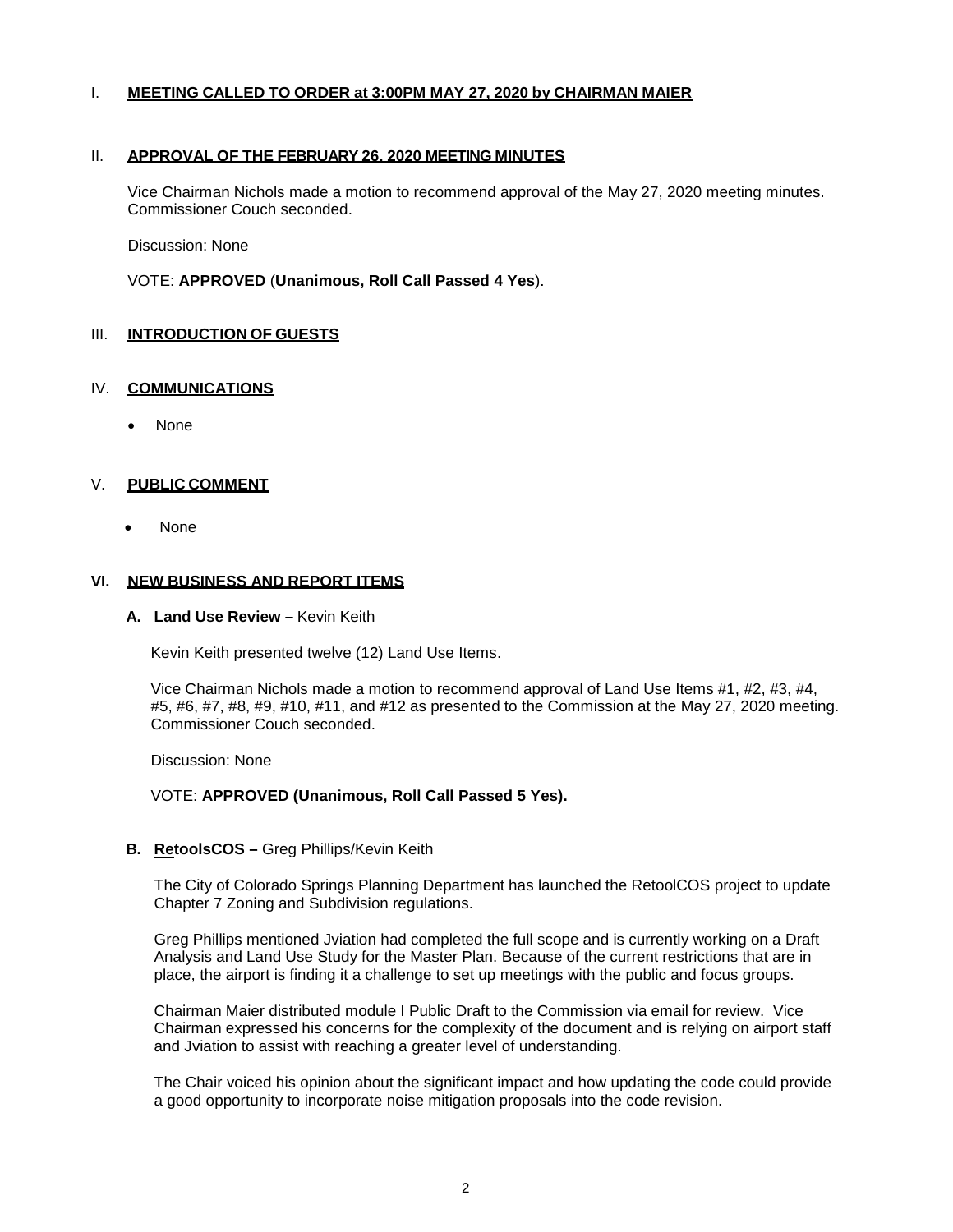#### I. **MEETING CALLED TO ORDER at 3:00PM MAY 27, 2020 by CHAIRMAN MAIER**

#### II. **APPROVAL OF THE FEBRUARY 26, 2020 MEETING MINUTES**

Vice Chairman Nichols made a motion to recommend approval of the May 27, 2020 meeting minutes. Commissioner Couch seconded.

Discussion: None

VOTE: **APPROVED** (**Unanimous, Roll Call Passed 4 Yes**).

## III. **INTRODUCTION OF GUESTS**

#### IV. **COMMUNICATIONS**

• None

### V. **PUBLIC COMMENT**

• None

#### **VI. NEW BUSINESS AND REPORT ITEMS**

**A. Land Use Review –** Kevin Keith

Kevin Keith presented twelve (12) Land Use Items.

Vice Chairman Nichols made a motion to recommend approval of Land Use Items #1, #2, #3, #4, #5, #6, #7, #8, #9, #10, #11, and #12 as presented to the Commission at the May 27, 2020 meeting. Commissioner Couch seconded.

Discussion: None

#### VOTE: **APPROVED (Unanimous, Roll Call Passed 5 Yes).**

**B. RetoolsCOS –** Greg Phillips/Kevin Keith

The City of Colorado Springs Planning Department has launched the RetoolCOS project to update Chapter 7 Zoning and Subdivision regulations.

Greg Phillips mentioned Jviation had completed the full scope and is currently working on a Draft Analysis and Land Use Study for the Master Plan. Because of the current restrictions that are in place, the airport is finding it a challenge to set up meetings with the public and focus groups.

Chairman Maier distributed module I Public Draft to the Commission via email for review. Vice Chairman expressed his concerns for the complexity of the document and is relying on airport staff and Jviation to assist with reaching a greater level of understanding.

The Chair voiced his opinion about the significant impact and how updating the code could provide a good opportunity to incorporate noise mitigation proposals into the code revision.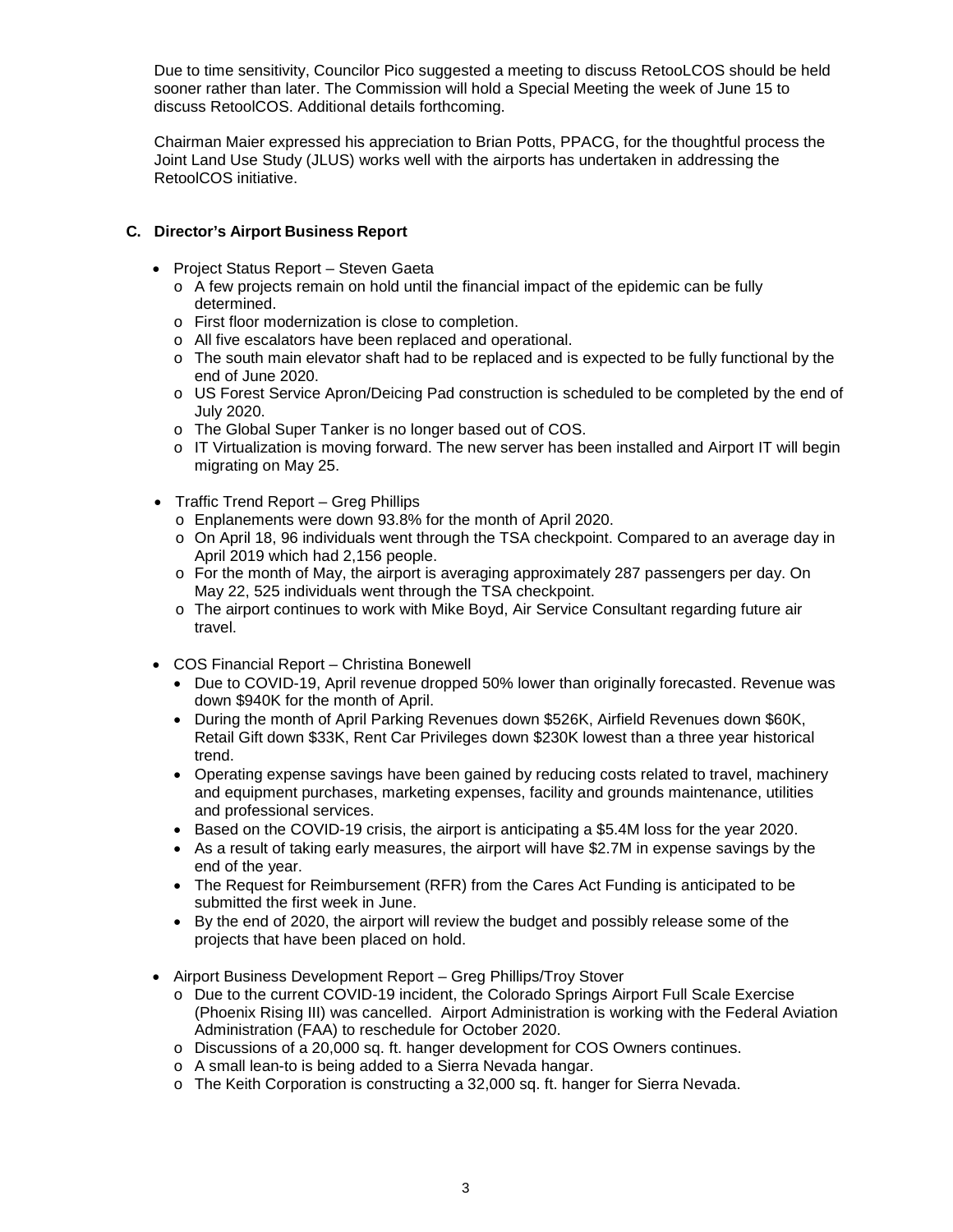Due to time sensitivity, Councilor Pico suggested a meeting to discuss RetooLCOS should be held sooner rather than later. The Commission will hold a Special Meeting the week of June 15 to discuss RetoolCOS. Additional details forthcoming.

Chairman Maier expressed his appreciation to Brian Potts, PPACG, for the thoughtful process the Joint Land Use Study (JLUS) works well with the airports has undertaken in addressing the RetoolCOS initiative.

# **C. Director's Airport Business Report**

- Project Status Report Steven Gaeta
	- $\circ$  A few projects remain on hold until the financial impact of the epidemic can be fully determined.
	- o First floor modernization is close to completion.
	- o All five escalators have been replaced and operational.
	- $\circ$  The south main elevator shaft had to be replaced and is expected to be fully functional by the end of June 2020.
	- o US Forest Service Apron/Deicing Pad construction is scheduled to be completed by the end of July 2020.
	- o The Global Super Tanker is no longer based out of COS.
	- o IT Virtualization is moving forward. The new server has been installed and Airport IT will begin migrating on May 25.
- Traffic Trend Report Greg Phillips
	- o Enplanements were down 93.8% for the month of April 2020.
	- o On April 18, 96 individuals went through the TSA checkpoint. Compared to an average day in April 2019 which had 2,156 people.
	- o For the month of May, the airport is averaging approximately 287 passengers per day. On May 22, 525 individuals went through the TSA checkpoint.
	- o The airport continues to work with Mike Boyd, Air Service Consultant regarding future air travel.
- COS Financial Report Christina Bonewell
	- Due to COVID-19, April revenue dropped 50% lower than originally forecasted. Revenue was down \$940K for the month of April.
	- During the month of April Parking Revenues down \$526K, Airfield Revenues down \$60K, Retail Gift down \$33K, Rent Car Privileges down \$230K lowest than a three year historical trend.
	- Operating expense savings have been gained by reducing costs related to travel, machinery and equipment purchases, marketing expenses, facility and grounds maintenance, utilities and professional services.
	- Based on the COVID-19 crisis, the airport is anticipating a \$5.4M loss for the year 2020.
	- As a result of taking early measures, the airport will have \$2.7M in expense savings by the end of the year.
	- The Request for Reimbursement (RFR) from the Cares Act Funding is anticipated to be submitted the first week in June.
	- By the end of 2020, the airport will review the budget and possibly release some of the projects that have been placed on hold.
- Airport Business Development Report Greg Phillips/Troy Stover
	- o Due to the current COVID-19 incident, the Colorado Springs Airport Full Scale Exercise (Phoenix Rising III) was cancelled. Airport Administration is working with the Federal Aviation Administration (FAA) to reschedule for October 2020.
	- o Discussions of a 20,000 sq. ft. hanger development for COS Owners continues.
	- o A small lean-to is being added to a Sierra Nevada hangar.
	- o The Keith Corporation is constructing a 32,000 sq. ft. hanger for Sierra Nevada.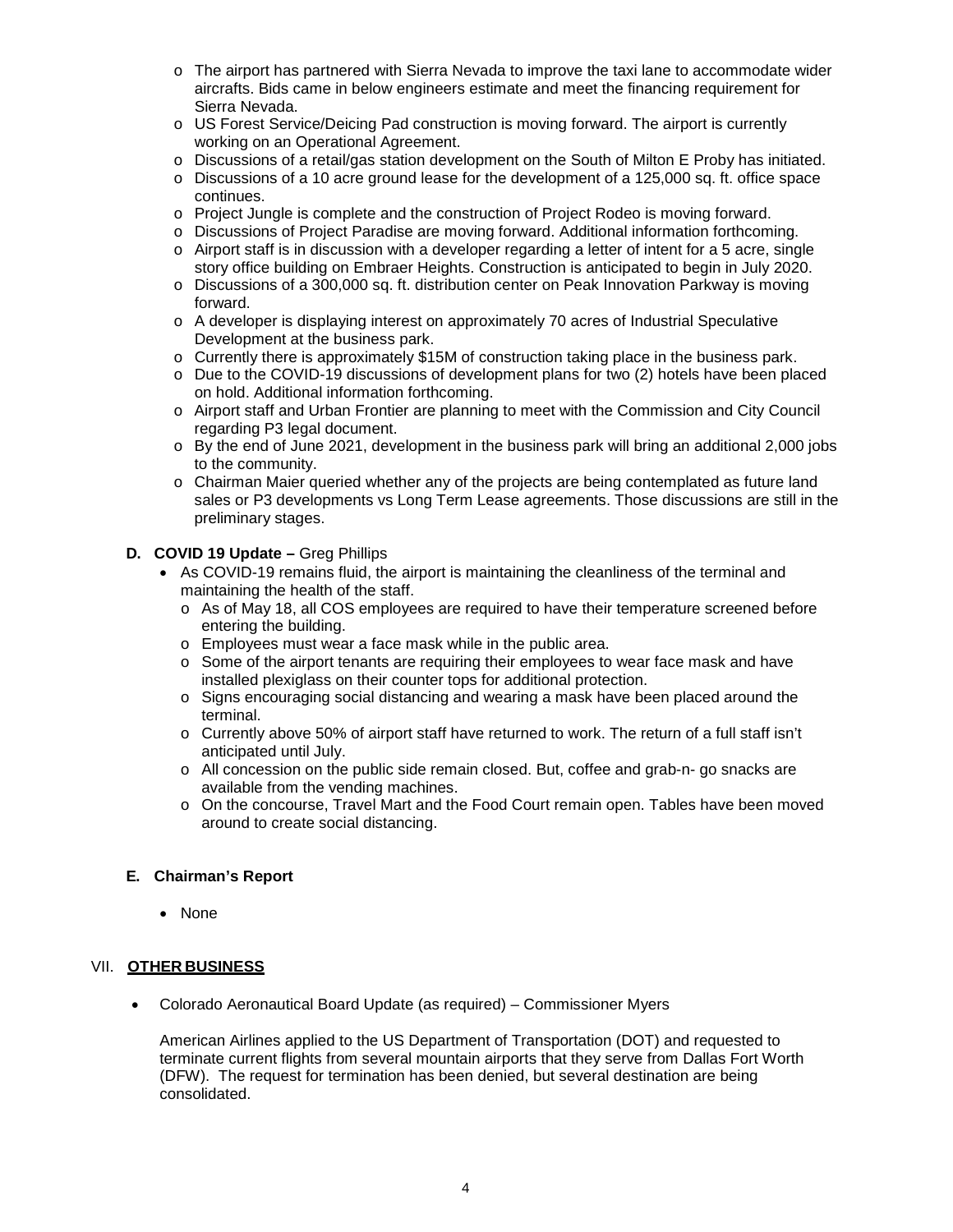- o The airport has partnered with Sierra Nevada to improve the taxi lane to accommodate wider aircrafts. Bids came in below engineers estimate and meet the financing requirement for Sierra Nevada.
- o US Forest Service/Deicing Pad construction is moving forward. The airport is currently working on an Operational Agreement.
- o Discussions of a retail/gas station development on the South of Milton E Proby has initiated.
- o Discussions of a 10 acre ground lease for the development of a 125,000 sq. ft. office space continues.
- o Project Jungle is complete and the construction of Project Rodeo is moving forward.
- o Discussions of Project Paradise are moving forward. Additional information forthcoming.
- $\circ$  Airport staff is in discussion with a developer regarding a letter of intent for a 5 acre, single story office building on Embraer Heights. Construction is anticipated to begin in July 2020.
- o Discussions of a 300,000 sq. ft. distribution center on Peak Innovation Parkway is moving forward.
- o A developer is displaying interest on approximately 70 acres of Industrial Speculative Development at the business park.
- o Currently there is approximately \$15M of construction taking place in the business park.
- o Due to the COVID-19 discussions of development plans for two (2) hotels have been placed on hold. Additional information forthcoming.
- o Airport staff and Urban Frontier are planning to meet with the Commission and City Council regarding P3 legal document.
- o By the end of June 2021, development in the business park will bring an additional 2,000 jobs to the community.
- o Chairman Maier queried whether any of the projects are being contemplated as future land sales or P3 developments vs Long Term Lease agreements. Those discussions are still in the preliminary stages.
- **D. COVID 19 Update** Greg Phillips
	- As COVID-19 remains fluid, the airport is maintaining the cleanliness of the terminal and maintaining the health of the staff.
		- o As of May 18, all COS employees are required to have their temperature screened before entering the building.
		- o Employees must wear a face mask while in the public area.
		- o Some of the airport tenants are requiring their employees to wear face mask and have installed plexiglass on their counter tops for additional protection.
		- o Signs encouraging social distancing and wearing a mask have been placed around the terminal.
		- o Currently above 50% of airport staff have returned to work. The return of a full staff isn't anticipated until July.
		- o All concession on the public side remain closed. But, coffee and grab-n- go snacks are available from the vending machines.
		- o On the concourse, Travel Mart and the Food Court remain open. Tables have been moved around to create social distancing.

## **E. Chairman's Report**

• None

## VII. **OTHER BUSINESS**

• Colorado Aeronautical Board Update (as required) – Commissioner Myers

American Airlines applied to the US Department of Transportation (DOT) and requested to terminate current flights from several mountain airports that they serve from Dallas Fort Worth (DFW). The request for termination has been denied, but several destination are being consolidated.